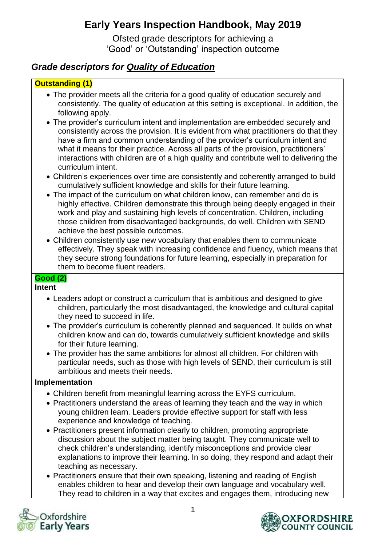# **Early Years Inspection Handbook, May 2019**

Ofsted grade descriptors for achieving a 'Good' or 'Outstanding' inspection outcome

# *Grade descriptors for Quality of Education*

### **Outstanding (1)**

- The provider meets all the criteria for a good quality of education securely and consistently. The quality of education at this setting is exceptional. In addition, the following apply.
- The provider's curriculum intent and implementation are embedded securely and consistently across the provision. It is evident from what practitioners do that they have a firm and common understanding of the provider's curriculum intent and what it means for their practice. Across all parts of the provision, practitioners' interactions with children are of a high quality and contribute well to delivering the curriculum intent.
- Children's experiences over time are consistently and coherently arranged to build cumulatively sufficient knowledge and skills for their future learning.
- The impact of the curriculum on what children know, can remember and do is highly effective. Children demonstrate this through being deeply engaged in their work and play and sustaining high levels of concentration. Children, including those children from disadvantaged backgrounds, do well. Children with SEND achieve the best possible outcomes.
- Children consistently use new vocabulary that enables them to communicate effectively. They speak with increasing confidence and fluency, which means that they secure strong foundations for future learning, especially in preparation for them to become fluent readers.

## **Good (2)**

### **Intent**

- Leaders adopt or construct a curriculum that is ambitious and designed to give children, particularly the most disadvantaged, the knowledge and cultural capital they need to succeed in life.
- The provider's curriculum is coherently planned and sequenced. It builds on what children know and can do, towards cumulatively sufficient knowledge and skills for their future learning.
- The provider has the same ambitions for almost all children. For children with particular needs, such as those with high levels of SEND, their curriculum is still ambitious and meets their needs.

### **Implementation**

- Children benefit from meaningful learning across the EYFS curriculum.
- Practitioners understand the areas of learning they teach and the way in which young children learn. Leaders provide effective support for staff with less experience and knowledge of teaching.
- Practitioners present information clearly to children, promoting appropriate discussion about the subject matter being taught. They communicate well to check children's understanding, identify misconceptions and provide clear explanations to improve their learning. In so doing, they respond and adapt their teaching as necessary.
- Practitioners ensure that their own speaking, listening and reading of English enables children to hear and develop their own language and vocabulary well. They read to children in a way that excites and engages them, introducing new



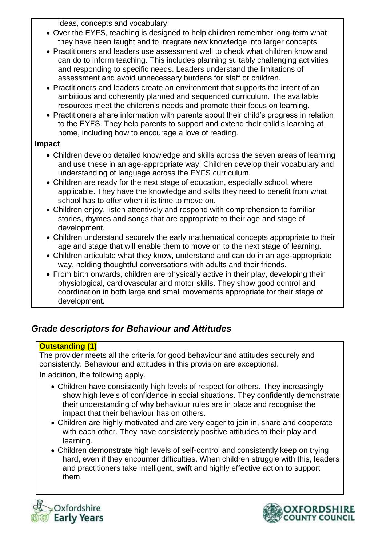ideas, concepts and vocabulary.

- Over the EYFS, teaching is designed to help children remember long-term what they have been taught and to integrate new knowledge into larger concepts.
- Practitioners and leaders use assessment well to check what children know and can do to inform teaching. This includes planning suitably challenging activities and responding to specific needs. Leaders understand the limitations of assessment and avoid unnecessary burdens for staff or children.
- Practitioners and leaders create an environment that supports the intent of an ambitious and coherently planned and sequenced curriculum. The available resources meet the children's needs and promote their focus on learning.
- Practitioners share information with parents about their child's progress in relation to the EYFS. They help parents to support and extend their child's learning at home, including how to encourage a love of reading.

### **Impact**

- Children develop detailed knowledge and skills across the seven areas of learning and use these in an age-appropriate way. Children develop their vocabulary and understanding of language across the EYFS curriculum.
- Children are ready for the next stage of education, especially school, where applicable. They have the knowledge and skills they need to benefit from what school has to offer when it is time to move on.
- Children enjoy, listen attentively and respond with comprehension to familiar stories, rhymes and songs that are appropriate to their age and stage of development.
- Children understand securely the early mathematical concepts appropriate to their age and stage that will enable them to move on to the next stage of learning.
- Children articulate what they know, understand and can do in an age-appropriate way, holding thoughtful conversations with adults and their friends.
- From birth onwards, children are physically active in their play, developing their physiological, cardiovascular and motor skills. They show good control and coordination in both large and small movements appropriate for their stage of development.

# *Grade descriptors for Behaviour and Attitudes*

### **Outstanding (1)**

The provider meets all the criteria for good behaviour and attitudes securely and consistently. Behaviour and attitudes in this provision are exceptional.

In addition, the following apply.

- Children have consistently high levels of respect for others. They increasingly show high levels of confidence in social situations. They confidently demonstrate their understanding of why behaviour rules are in place and recognise the impact that their behaviour has on others.
- Children are highly motivated and are very eager to join in, share and cooperate with each other. They have consistently positive attitudes to their play and learning.
- Children demonstrate high levels of self-control and consistently keep on trying hard, even if they encounter difficulties. When children struggle with this, leaders and practitioners take intelligent, swift and highly effective action to support them.



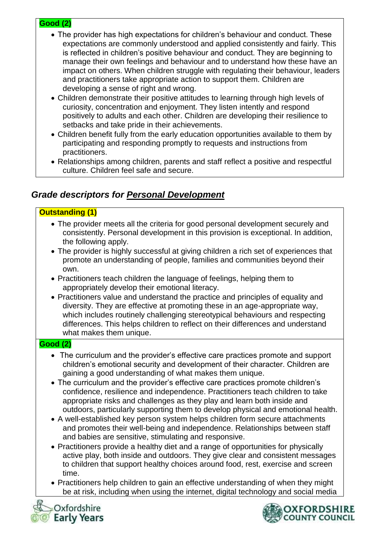#### **Good (2)**

- The provider has high expectations for children's behaviour and conduct. These expectations are commonly understood and applied consistently and fairly. This is reflected in children's positive behaviour and conduct. They are beginning to manage their own feelings and behaviour and to understand how these have an impact on others. When children struggle with regulating their behaviour, leaders and practitioners take appropriate action to support them. Children are developing a sense of right and wrong.
- Children demonstrate their positive attitudes to learning through high levels of curiosity, concentration and enjoyment. They listen intently and respond positively to adults and each other. Children are developing their resilience to setbacks and take pride in their achievements.
- Children benefit fully from the early education opportunities available to them by participating and responding promptly to requests and instructions from practitioners.
- Relationships among children, parents and staff reflect a positive and respectful culture. Children feel safe and secure.

## *Grade descriptors for Personal Development*

### **Outstanding (1)**

- The provider meets all the criteria for good personal development securely and consistently. Personal development in this provision is exceptional. In addition, the following apply.
- The provider is highly successful at giving children a rich set of experiences that promote an understanding of people, families and communities beyond their own.
- Practitioners teach children the language of feelings, helping them to appropriately develop their emotional literacy.
- Practitioners value and understand the practice and principles of equality and diversity. They are effective at promoting these in an age-appropriate way, which includes routinely challenging stereotypical behaviours and respecting differences. This helps children to reflect on their differences and understand what makes them unique.

### **Good (2)**

- The curriculum and the provider's effective care practices promote and support children's emotional security and development of their character. Children are gaining a good understanding of what makes them unique.
- The curriculum and the provider's effective care practices promote children's confidence, resilience and independence. Practitioners teach children to take appropriate risks and challenges as they play and learn both inside and outdoors, particularly supporting them to develop physical and emotional health.
- A well-established key person system helps children form secure attachments and promotes their well-being and independence. Relationships between staff and babies are sensitive, stimulating and responsive.
- Practitioners provide a healthy diet and a range of opportunities for physically active play, both inside and outdoors. They give clear and consistent messages to children that support healthy choices around food, rest, exercise and screen time.
- Practitioners help children to gain an effective understanding of when they might be at risk, including when using the internet, digital technology and social media



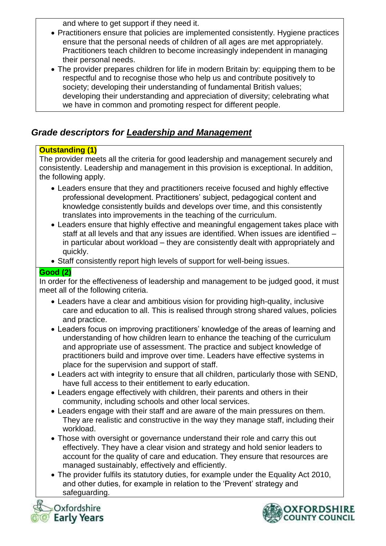and where to get support if they need it.

- Practitioners ensure that policies are implemented consistently. Hygiene practices ensure that the personal needs of children of all ages are met appropriately. Practitioners teach children to become increasingly independent in managing their personal needs.
- The provider prepares children for life in modern Britain by: equipping them to be respectful and to recognise those who help us and contribute positively to society; developing their understanding of fundamental British values; developing their understanding and appreciation of diversity; celebrating what we have in common and promoting respect for different people.

# *Grade descriptors for Leadership and Management*

### **Outstanding (1)**

The provider meets all the criteria for good leadership and management securely and consistently. Leadership and management in this provision is exceptional. In addition, the following apply.

- Leaders ensure that they and practitioners receive focused and highly effective professional development. Practitioners' subject, pedagogical content and knowledge consistently builds and develops over time, and this consistently translates into improvements in the teaching of the curriculum.
- Leaders ensure that highly effective and meaningful engagement takes place with staff at all levels and that any issues are identified. When issues are identified – in particular about workload – they are consistently dealt with appropriately and quickly.
- Staff consistently report high levels of support for well-being issues.

### **Good (2)**

In order for the effectiveness of leadership and management to be judged good, it must meet all of the following criteria.

- Leaders have a clear and ambitious vision for providing high-quality, inclusive care and education to all. This is realised through strong shared values, policies and practice.
- Leaders focus on improving practitioners' knowledge of the areas of learning and understanding of how children learn to enhance the teaching of the curriculum and appropriate use of assessment. The practice and subject knowledge of practitioners build and improve over time. Leaders have effective systems in place for the supervision and support of staff.
- Leaders act with integrity to ensure that all children, particularly those with SEND, have full access to their entitlement to early education.
- Leaders engage effectively with children, their parents and others in their community, including schools and other local services.
- Leaders engage with their staff and are aware of the main pressures on them. They are realistic and constructive in the way they manage staff, including their workload.
- Those with oversight or governance understand their role and carry this out effectively. They have a clear vision and strategy and hold senior leaders to account for the quality of care and education. They ensure that resources are managed sustainably, effectively and efficiently.
- The provider fulfils its statutory duties, for example under the Equality Act 2010, and other duties, for example in relation to the 'Prevent' strategy and safeguarding.